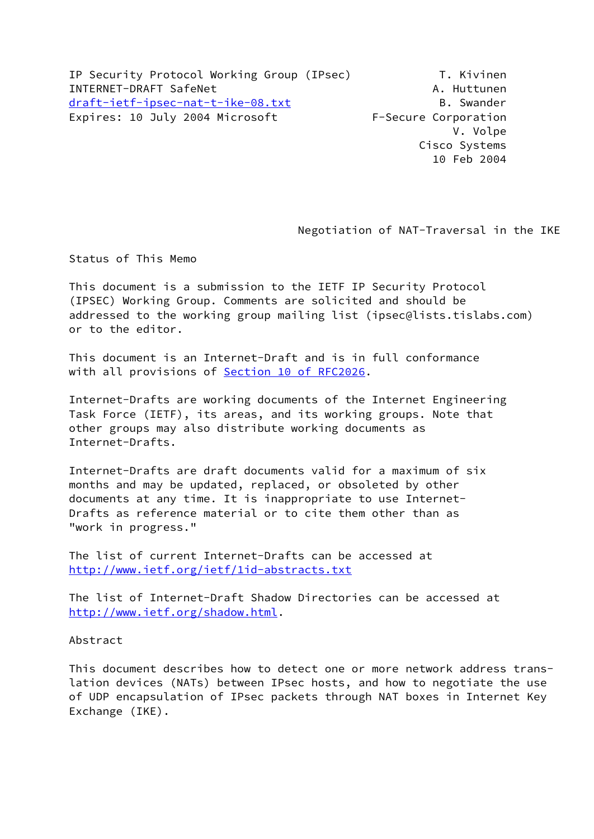IP Security Protocol Working Group (IPsec) T. Kivinen INTERNET-DRAFT SafeNet And Allen A. Huttunen [draft-ietf-ipsec-nat-t-ike-08.txt](https://datatracker.ietf.org/doc/pdf/draft-ietf-ipsec-nat-t-ike-08.txt)  B. Swander Expires: 10 July 2004 Microsoft F-Secure Corporation

 V. Volpe Cisco Systems 10 Feb 2004

Negotiation of NAT-Traversal in the IKE

Status of This Memo

 This document is a submission to the IETF IP Security Protocol (IPSEC) Working Group. Comments are solicited and should be addressed to the working group mailing list (ipsec@lists.tislabs.com) or to the editor.

 This document is an Internet-Draft and is in full conformance with all provisions of Section [10 of RFC2026](https://datatracker.ietf.org/doc/pdf/rfc2026#section-10).

 Internet-Drafts are working documents of the Internet Engineering Task Force (IETF), its areas, and its working groups. Note that other groups may also distribute working documents as Internet-Drafts.

 Internet-Drafts are draft documents valid for a maximum of six months and may be updated, replaced, or obsoleted by other documents at any time. It is inappropriate to use Internet- Drafts as reference material or to cite them other than as "work in progress."

 The list of current Internet-Drafts can be accessed at <http://www.ietf.org/ietf/1id-abstracts.txt>

 The list of Internet-Draft Shadow Directories can be accessed at <http://www.ietf.org/shadow.html>.

Abstract

 This document describes how to detect one or more network address trans lation devices (NATs) between IPsec hosts, and how to negotiate the use of UDP encapsulation of IPsec packets through NAT boxes in Internet Key Exchange (IKE).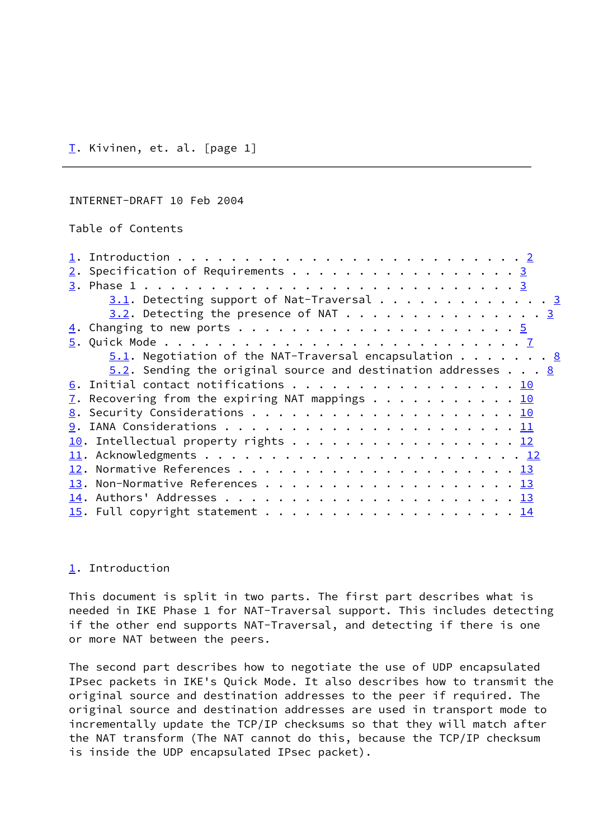## <span id="page-1-2"></span><span id="page-1-0"></span>INTERNET-DRAFT 10 Feb 2004

Table of Contents

| $\underline{2}$ . Specification of Requirements 3                      |
|------------------------------------------------------------------------|
|                                                                        |
| $3.1$ . Detecting support of Nat-Traversal 3                           |
| $3.2$ . Detecting the presence of NAT 3                                |
|                                                                        |
|                                                                        |
| $5.1$ . Negotiation of the NAT-Traversal encapsulation 8               |
| $5.2$ . Sending the original source and destination addresses <u>8</u> |
| <u>6</u> . Initial contact notifications 10                            |
| $\frac{7}{2}$ . Recovering from the expiring NAT mappings 10           |
|                                                                        |
|                                                                        |
| $\underline{10}$ . Intellectual property rights 12                     |
|                                                                        |
|                                                                        |
|                                                                        |
|                                                                        |
|                                                                        |

# <span id="page-1-1"></span>[1.](#page-1-1) Introduction

 This document is split in two parts. The first part describes what is needed in IKE Phase 1 for NAT-Traversal support. This includes detecting if the other end supports NAT-Traversal, and detecting if there is one or more NAT between the peers.

 The second part describes how to negotiate the use of UDP encapsulated IPsec packets in IKE's Quick Mode. It also describes how to transmit the original source and destination addresses to the peer if required. The original source and destination addresses are used in transport mode to incrementally update the TCP/IP checksums so that they will match after the NAT transform (The NAT cannot do this, because the TCP/IP checksum is inside the UDP encapsulated IPsec packet).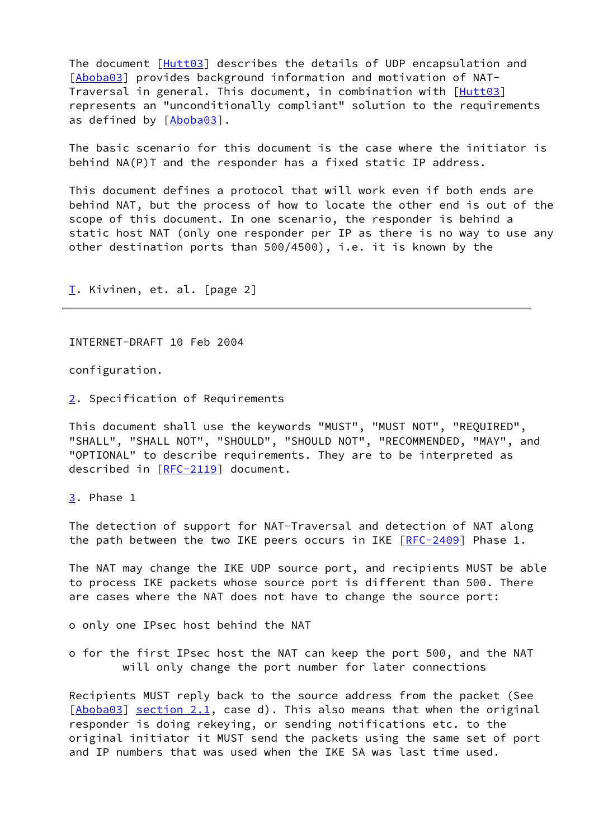The document [[Hutt03](#page-14-5)] describes the details of UDP encapsulation and [[Aboba03](#page-14-6)] provides background information and motivation of NAT- Traversal in general. This document, in combination with [\[Hutt03](#page-14-5)] represents an "unconditionally compliant" solution to the requirements as defined by [\[Aboba03](#page-14-6)].

 The basic scenario for this document is the case where the initiator is behind NA(P)T and the responder has a fixed static IP address.

 This document defines a protocol that will work even if both ends are behind NAT, but the process of how to locate the other end is out of the scope of this document. In one scenario, the responder is behind a static host NAT (only one responder per IP as there is no way to use any other destination ports than 500/4500), i.e. it is known by the

[T.](#page-1-0) Kivinen, et. al. [page 2]

<span id="page-2-1"></span>INTERNET-DRAFT 10 Feb 2004

configuration.

<span id="page-2-0"></span>[2.](#page-2-0) Specification of Requirements

 This document shall use the keywords "MUST", "MUST NOT", "REQUIRED", "SHALL", "SHALL NOT", "SHOULD", "SHOULD NOT", "RECOMMENDED, "MAY", and "OPTIONAL" to describe requirements. They are to be interpreted as described in [[RFC-2119\]](https://datatracker.ietf.org/doc/pdf/rfc2119) document.

<span id="page-2-2"></span>[3.](#page-2-2) Phase 1

 The detection of support for NAT-Traversal and detection of NAT along the path between the two IKE peers occurs in IKE  $[RFC-2409]$  $[RFC-2409]$  Phase 1.

 The NAT may change the IKE UDP source port, and recipients MUST be able to process IKE packets whose source port is different than 500. There are cases where the NAT does not have to change the source port:

o only one IPsec host behind the NAT

 o for the first IPsec host the NAT can keep the port 500, and the NAT will only change the port number for later connections

 Recipients MUST reply back to the source address from the packet (See  $[\text{Aboba}03]$  section 2.1, case d). This also means that when the original responder is doing rekeying, or sending notifications etc. to the original initiator it MUST send the packets using the same set of port and IP numbers that was used when the IKE SA was last time used.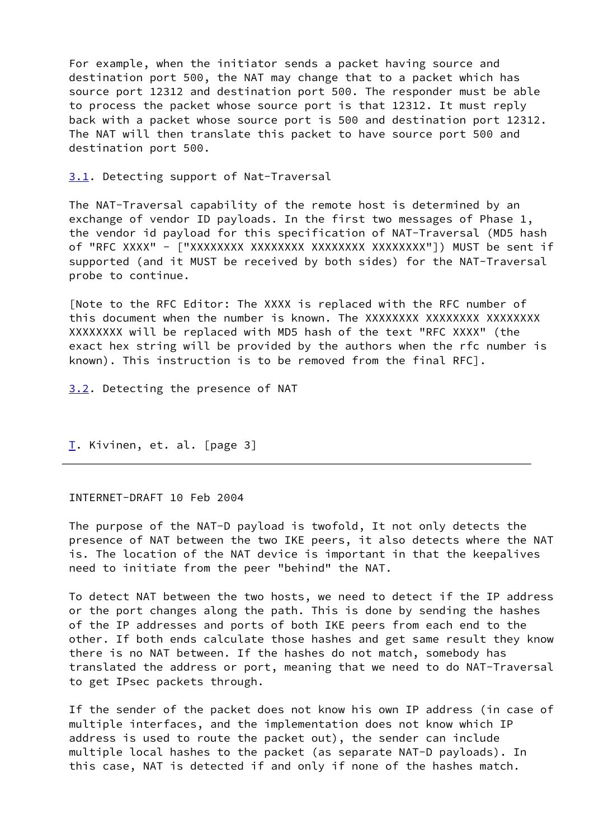For example, when the initiator sends a packet having source and destination port 500, the NAT may change that to a packet which has source port 12312 and destination port 500. The responder must be able to process the packet whose source port is that 12312. It must reply back with a packet whose source port is 500 and destination port 12312. The NAT will then translate this packet to have source port 500 and destination port 500.

<span id="page-3-0"></span>[3.1](#page-3-0). Detecting support of Nat-Traversal

 The NAT-Traversal capability of the remote host is determined by an exchange of vendor ID payloads. In the first two messages of Phase 1, the vendor id payload for this specification of NAT-Traversal (MD5 hash of "RFC XXXX" - ["XXXXXXXX XXXXXXXX XXXXXXXX XXXXXXXX"]) MUST be sent if supported (and it MUST be received by both sides) for the NAT-Traversal probe to continue.

 [Note to the RFC Editor: The XXXX is replaced with the RFC number of this document when the number is known. The XXXXXXXX XXXXXXXX XXXXXXXXX XXXXXXXX will be replaced with MD5 hash of the text "RFC XXXX" (the exact hex string will be provided by the authors when the rfc number is known). This instruction is to be removed from the final RFC].

<span id="page-3-1"></span>[3.2](#page-3-1). Detecting the presence of NAT

[T.](#page-1-0) Kivinen, et. al. [page 3]

#### INTERNET-DRAFT 10 Feb 2004

 The purpose of the NAT-D payload is twofold, It not only detects the presence of NAT between the two IKE peers, it also detects where the NAT is. The location of the NAT device is important in that the keepalives need to initiate from the peer "behind" the NAT.

 To detect NAT between the two hosts, we need to detect if the IP address or the port changes along the path. This is done by sending the hashes of the IP addresses and ports of both IKE peers from each end to the other. If both ends calculate those hashes and get same result they know there is no NAT between. If the hashes do not match, somebody has translated the address or port, meaning that we need to do NAT-Traversal to get IPsec packets through.

 If the sender of the packet does not know his own IP address (in case of multiple interfaces, and the implementation does not know which IP address is used to route the packet out), the sender can include multiple local hashes to the packet (as separate NAT-D payloads). In this case, NAT is detected if and only if none of the hashes match.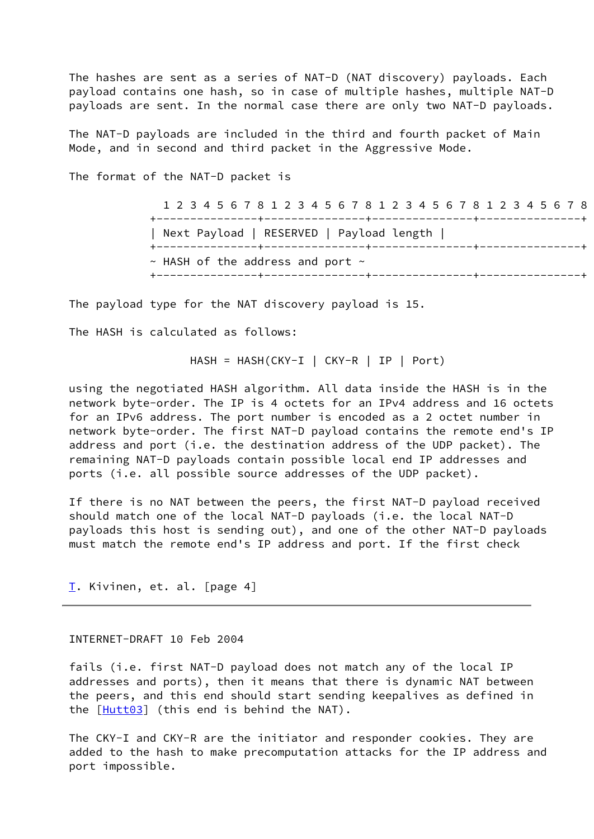The hashes are sent as a series of NAT-D (NAT discovery) payloads. Each payload contains one hash, so in case of multiple hashes, multiple NAT-D payloads are sent. In the normal case there are only two NAT-D payloads.

 The NAT-D payloads are included in the third and fourth packet of Main Mode, and in second and third packet in the Aggressive Mode.

The format of the NAT-D packet is

 1 2 3 4 5 6 7 8 1 2 3 4 5 6 7 8 1 2 3 4 5 6 7 8 1 2 3 4 5 6 7 8 +---------------+---------------+---------------+---------------+ | Next Payload | RESERVED | Payload length | +---------------+---------------+---------------+---------------+  $\sim$  HASH of the address and port  $\sim$ +---------------+---------------+---------------+---------------+

The payload type for the NAT discovery payload is 15.

The HASH is calculated as follows:

HASH = HASH(CKY-I | CKY-R | IP | Port)

 using the negotiated HASH algorithm. All data inside the HASH is in the network byte-order. The IP is 4 octets for an IPv4 address and 16 octets for an IPv6 address. The port number is encoded as a 2 octet number in network byte-order. The first NAT-D payload contains the remote end's IP address and port (i.e. the destination address of the UDP packet). The remaining NAT-D payloads contain possible local end IP addresses and ports (i.e. all possible source addresses of the UDP packet).

 If there is no NAT between the peers, the first NAT-D payload received should match one of the local NAT-D payloads (i.e. the local NAT-D payloads this host is sending out), and one of the other NAT-D payloads must match the remote end's IP address and port. If the first check

[T.](#page-1-0) Kivinen, et. al. [page 4]

#### <span id="page-4-0"></span>INTERNET-DRAFT 10 Feb 2004

 fails (i.e. first NAT-D payload does not match any of the local IP addresses and ports), then it means that there is dynamic NAT between the peers, and this end should start sending keepalives as defined in the  $[Hutt03]$  $[Hutt03]$  $[Hutt03]$  (this end is behind the NAT).

 The CKY-I and CKY-R are the initiator and responder cookies. They are added to the hash to make precomputation attacks for the IP address and port impossible.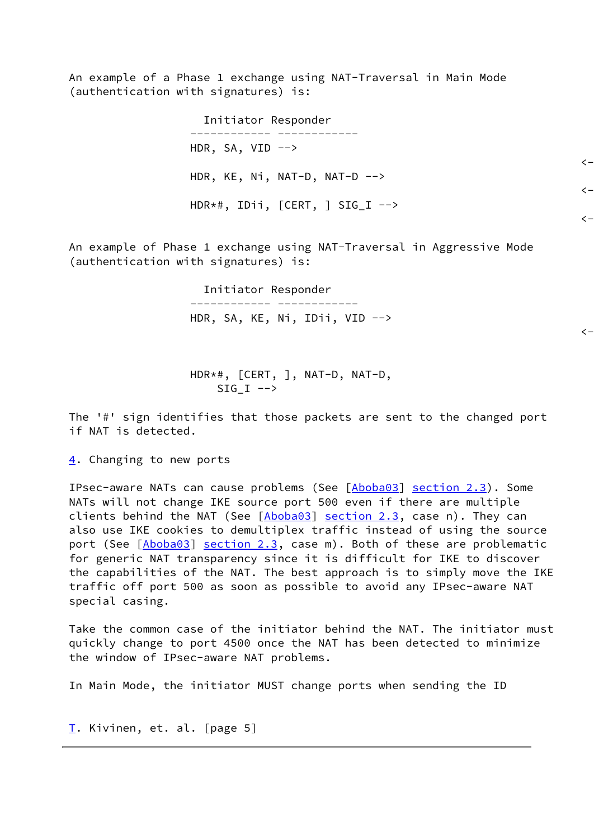An example of a Phase 1 exchange using NAT-Traversal in Main Mode (authentication with signatures) is:

 Initiator Responder ------------ ------------ HDR, SA, VID  $\leftarrow$  $\left\langle -\right\rangle$  HDR, KE, Ni, NAT-D, NAT-D -->  $\left\langle -\right\rangle$ HDR\*#, IDii, [CERT, ] SIG\_I -->

 $\langle -$ 

 $\left\langle -\right\rangle$ 

 An example of Phase 1 exchange using NAT-Traversal in Aggressive Mode (authentication with signatures) is:

> Initiator Responder ------------ ------------ HDR, SA, KE, Ni, IDii, VID -->

> HDR\*#, [CERT, ], NAT-D, NAT-D, SIG I  $\leftarrow$

 The '#' sign identifies that those packets are sent to the changed port if NAT is detected.

<span id="page-5-0"></span>[4.](#page-5-0) Changing to new ports

IPsec-aware NATs can cause problems (See [\[Aboba03](#page-14-6)] section 2.3). Some NATs will not change IKE source port 500 even if there are multiple clients behind the NAT (See  $[Aboba03]$  $[Aboba03]$  $[Aboba03]$  section 2.3, case n). They can also use IKE cookies to demultiplex traffic instead of using the source port (See [\[Aboba03](#page-14-6)] section 2.3, case m). Both of these are problematic for generic NAT transparency since it is difficult for IKE to discover the capabilities of the NAT. The best approach is to simply move the IKE traffic off port 500 as soon as possible to avoid any IPsec-aware NAT special casing.

 Take the common case of the initiator behind the NAT. The initiator must quickly change to port 4500 once the NAT has been detected to minimize the window of IPsec-aware NAT problems.

In Main Mode, the initiator MUST change ports when sending the ID

[T.](#page-1-0) Kivinen, et. al. [page 5]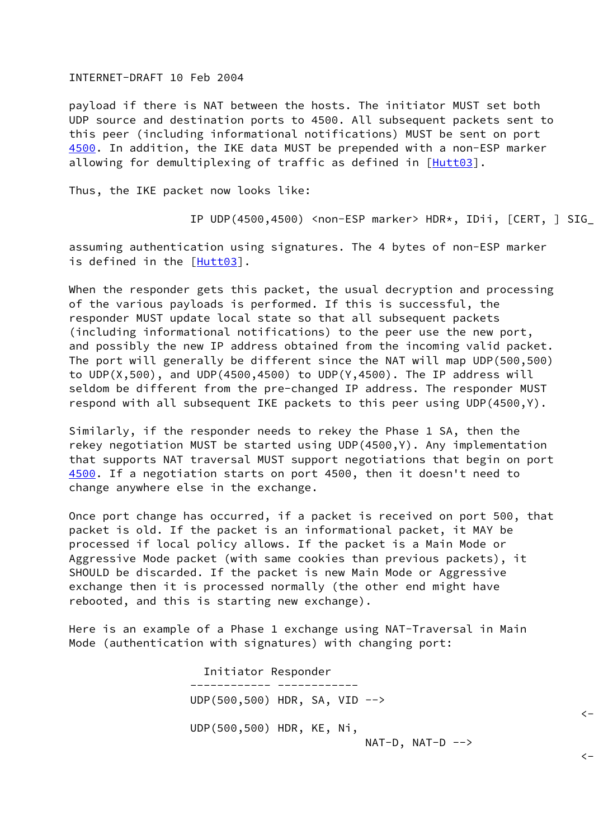#### INTERNET-DRAFT 10 Feb 2004

<span id="page-6-0"></span> payload if there is NAT between the hosts. The initiator MUST set both UDP source and destination ports to 4500. All subsequent packets sent to this peer (including informational notifications) MUST be sent on port [4500](#page-6-0). In addition, the IKE data MUST be prepended with a non-ESP marker allowing for demultiplexing of traffic as defined in [[Hutt03](#page-14-5)].

Thus, the IKE packet now looks like:

IP UDP(4500,4500) <non-ESP marker> HDR\*, IDii, [CERT, ] SIG\_I

 assuming authentication using signatures. The 4 bytes of non-ESP marker is defined in the [\[Hutt03](#page-14-5)].

 When the responder gets this packet, the usual decryption and processing of the various payloads is performed. If this is successful, the responder MUST update local state so that all subsequent packets (including informational notifications) to the peer use the new port, and possibly the new IP address obtained from the incoming valid packet. The port will generally be different since the NAT will map UDP(500,500) to UDP(X,500), and UDP(4500,4500) to UDP(Y,4500). The IP address will seldom be different from the pre-changed IP address. The responder MUST respond with all subsequent IKE packets to this peer using UDP(4500,Y).

 Similarly, if the responder needs to rekey the Phase 1 SA, then the rekey negotiation MUST be started using UDP(4500,Y). Any implementation that supports NAT traversal MUST support negotiations that begin on port [4500](#page-6-0). If a negotiation starts on port 4500, then it doesn't need to change anywhere else in the exchange.

 Once port change has occurred, if a packet is received on port 500, that packet is old. If the packet is an informational packet, it MAY be processed if local policy allows. If the packet is a Main Mode or Aggressive Mode packet (with same cookies than previous packets), it SHOULD be discarded. If the packet is new Main Mode or Aggressive exchange then it is processed normally (the other end might have rebooted, and this is starting new exchange).

 Here is an example of a Phase 1 exchange using NAT-Traversal in Main Mode (authentication with signatures) with changing port:

 Initiator Responder ------------ ------------ UDP(500,500) HDR, SA, VID -->  $\zeta-$  UDP(500,500) HDR, KE, Ni,  $NAT-D$ ,  $NAT-D$  -->

 $\zeta-$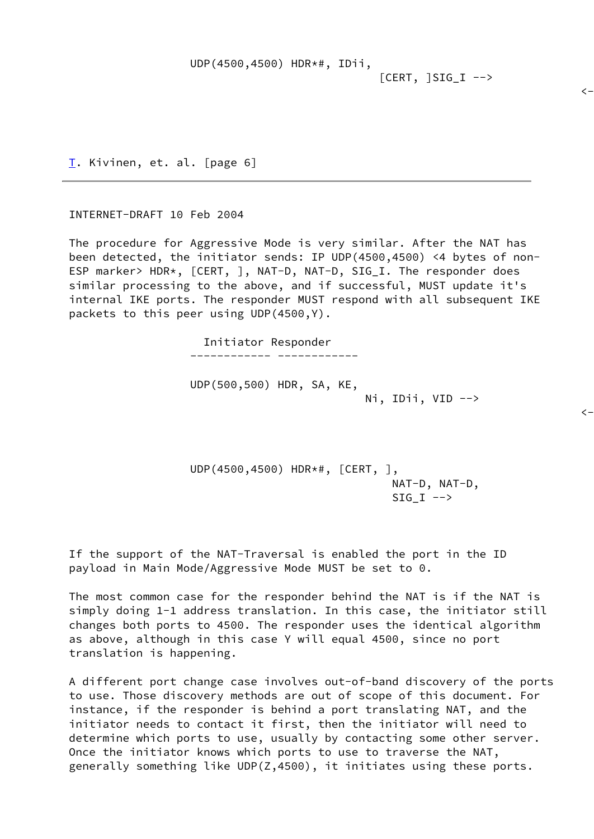| UDP(4500,4500) HDR*#, IDii, |  |
|-----------------------------|--|
|-----------------------------|--|

 $[CERT, ] SIG_I -->$ 

 $\left\langle -\right\rangle$ 

[T.](#page-1-0) Kivinen, et. al. [page 6]

<span id="page-7-0"></span>INTERNET-DRAFT 10 Feb 2004

 The procedure for Aggressive Mode is very similar. After the NAT has been detected, the initiator sends: IP UDP(4500,4500) <4 bytes of non- ESP marker> HDR\*, [CERT, ], NAT-D, NAT-D, SIG\_I. The responder does similar processing to the above, and if successful, MUST update it's internal IKE ports. The responder MUST respond with all subsequent IKE packets to this peer using UDP(4500,Y).

> Initiator Responder ------------ ------------

 UDP(500,500) HDR, SA, KE, Ni, IDii, VID -->

 $\zeta-$ 

 UDP(4500,4500) HDR\*#, [CERT, ], NAT-D, NAT-D,  $SIG_I \longrightarrow$ 

 If the support of the NAT-Traversal is enabled the port in the ID payload in Main Mode/Aggressive Mode MUST be set to 0.

 The most common case for the responder behind the NAT is if the NAT is simply doing 1-1 address translation. In this case, the initiator still changes both ports to 4500. The responder uses the identical algorithm as above, although in this case Y will equal 4500, since no port translation is happening.

 A different port change case involves out-of-band discovery of the ports to use. Those discovery methods are out of scope of this document. For instance, if the responder is behind a port translating NAT, and the initiator needs to contact it first, then the initiator will need to determine which ports to use, usually by contacting some other server. Once the initiator knows which ports to use to traverse the NAT, generally something like UDP(Z,4500), it initiates using these ports.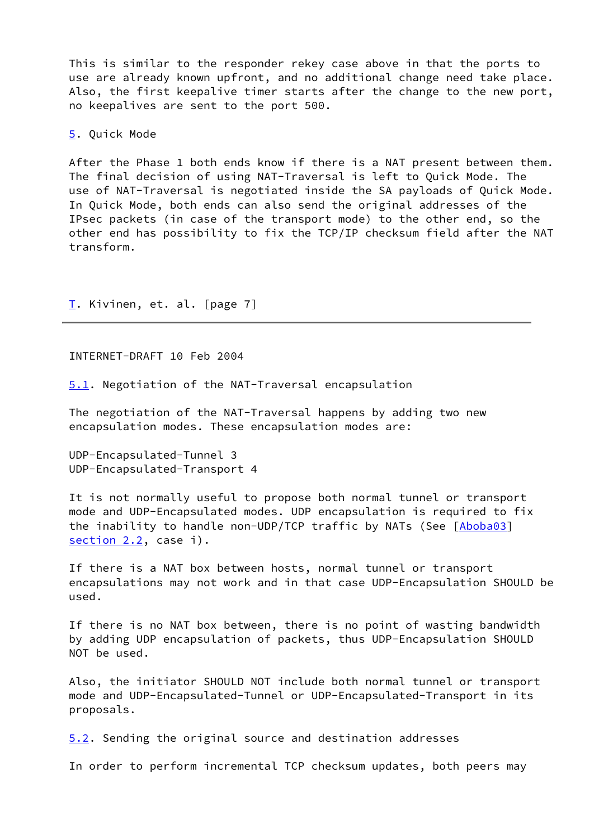This is similar to the responder rekey case above in that the ports to use are already known upfront, and no additional change need take place. Also, the first keepalive timer starts after the change to the new port, no keepalives are sent to the port 500.

<span id="page-8-0"></span>[5.](#page-8-0) Quick Mode

 After the Phase 1 both ends know if there is a NAT present between them. The final decision of using NAT-Traversal is left to Quick Mode. The use of NAT-Traversal is negotiated inside the SA payloads of Quick Mode. In Quick Mode, both ends can also send the original addresses of the IPsec packets (in case of the transport mode) to the other end, so the other end has possibility to fix the TCP/IP checksum field after the NAT transform.

[T.](#page-1-0) Kivinen, et. al. [page 7]

<span id="page-8-2"></span>INTERNET-DRAFT 10 Feb 2004

<span id="page-8-1"></span>[5.1](#page-8-1). Negotiation of the NAT-Traversal encapsulation

 The negotiation of the NAT-Traversal happens by adding two new encapsulation modes. These encapsulation modes are:

 UDP-Encapsulated-Tunnel 3 UDP-Encapsulated-Transport 4

 It is not normally useful to propose both normal tunnel or transport mode and UDP-Encapsulated modes. UDP encapsulation is required to fix the inability to handle non-UDP/TCP traffic by NATs (See [\[Aboba03](#page-14-6)] section 2.2, case i).

 If there is a NAT box between hosts, normal tunnel or transport encapsulations may not work and in that case UDP-Encapsulation SHOULD be used.

 If there is no NAT box between, there is no point of wasting bandwidth by adding UDP encapsulation of packets, thus UDP-Encapsulation SHOULD NOT be used.

 Also, the initiator SHOULD NOT include both normal tunnel or transport mode and UDP-Encapsulated-Tunnel or UDP-Encapsulated-Transport in its proposals.

<span id="page-8-3"></span>[5.2](#page-8-3). Sending the original source and destination addresses

In order to perform incremental TCP checksum updates, both peers may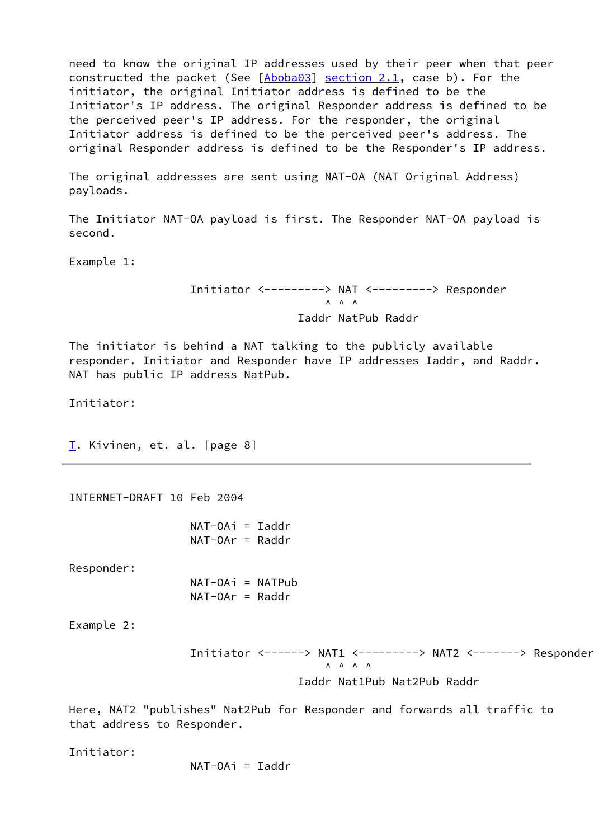need to know the original IP addresses used by their peer when that peer constructed the packet (See [[Aboba03](#page-14-6)] section 2.1, case b). For the initiator, the original Initiator address is defined to be the Initiator's IP address. The original Responder address is defined to be the perceived peer's IP address. For the responder, the original Initiator address is defined to be the perceived peer's address. The original Responder address is defined to be the Responder's IP address.

 The original addresses are sent using NAT-OA (NAT Original Address) payloads.

 The Initiator NAT-OA payload is first. The Responder NAT-OA payload is second.

Example 1:

 Initiator <---------> NAT <---------> Responder  $\wedge$   $\wedge$   $\wedge$   $\wedge$ Iaddr NatPub Raddr

 The initiator is behind a NAT talking to the publicly available responder. Initiator and Responder have IP addresses Iaddr, and Raddr. NAT has public IP address NatPub.

Initiator:

[T.](#page-1-0) Kivinen, et. al. [page 8]

INTERNET-DRAFT 10 Feb 2004

 $NAT-OA<sub>i</sub> = Iaddr$  $NAT-OAr = Raddr$ 

Responder:

 NAT-OAi = NATPub NAT-OAr = Raddr

Example 2:

 Initiator <------> NAT1 <---------> NAT2 <-------> Responder  $\land$   $\land$   $\land$   $\land$   $\land$ Iaddr Nat1Pub Nat2Pub Raddr

 Here, NAT2 "publishes" Nat2Pub for Responder and forwards all traffic to that address to Responder.

Initiator:

 $NAT-OA<sub>i</sub> = Iaddr$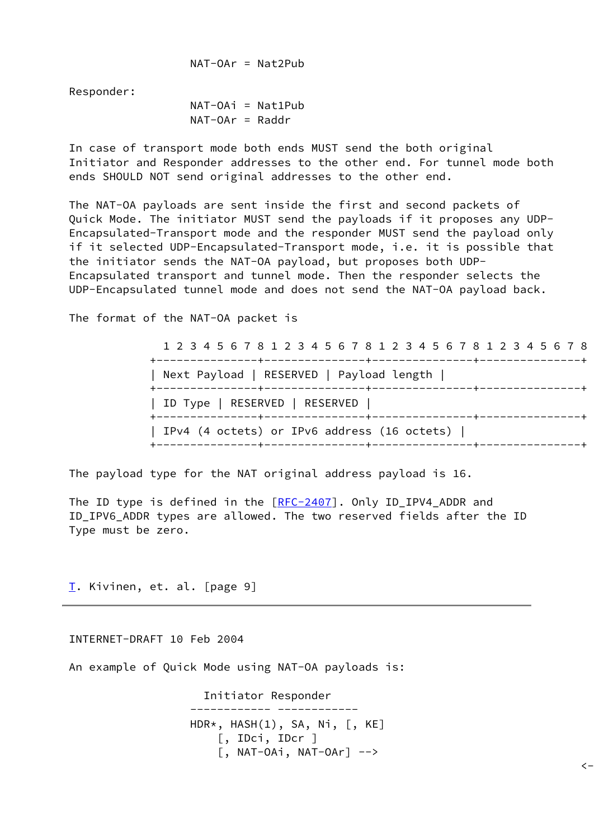NAT-OAr = Nat2Pub

Responder:

 NAT-OAi = Nat1Pub  $NAT-OAr = Raddr$ 

 In case of transport mode both ends MUST send the both original Initiator and Responder addresses to the other end. For tunnel mode both ends SHOULD NOT send original addresses to the other end.

 The NAT-OA payloads are sent inside the first and second packets of Quick Mode. The initiator MUST send the payloads if it proposes any UDP- Encapsulated-Transport mode and the responder MUST send the payload only if it selected UDP-Encapsulated-Transport mode, i.e. it is possible that the initiator sends the NAT-OA payload, but proposes both UDP- Encapsulated transport and tunnel mode. Then the responder selects the UDP-Encapsulated tunnel mode and does not send the NAT-OA payload back.

The format of the NAT-OA packet is

 1 2 3 4 5 6 7 8 1 2 3 4 5 6 7 8 1 2 3 4 5 6 7 8 1 2 3 4 5 6 7 8 +---------------+---------------+---------------+---------------+ | Next Payload | RESERVED | Payload length | +---------------+---------------+---------------+---------------+ | ID Type | RESERVED | RESERVED | +---------------+---------------+---------------+---------------+ | IPv4 (4 octets) or IPv6 address (16 octets) | +---------------+---------------+---------------+---------------+

 $\langle -$ 

The payload type for the NAT original address payload is 16.

The ID type is defined in the  $[RFC-2407]$  $[RFC-2407]$ . Only ID\_IPV4\_ADDR and ID\_IPV6\_ADDR types are allowed. The two reserved fields after the ID Type must be zero.

[T.](#page-1-0) Kivinen, et. al. [page 9]

<span id="page-10-0"></span>INTERNET-DRAFT 10 Feb 2004

An example of Quick Mode using NAT-OA payloads is:

 Initiator Responder ------------ ------------ HDR\*, HASH(1), SA, Ni, [, KE] [, IDci, IDcr ]  $[$ , NAT-OAi, NAT-OAr] -->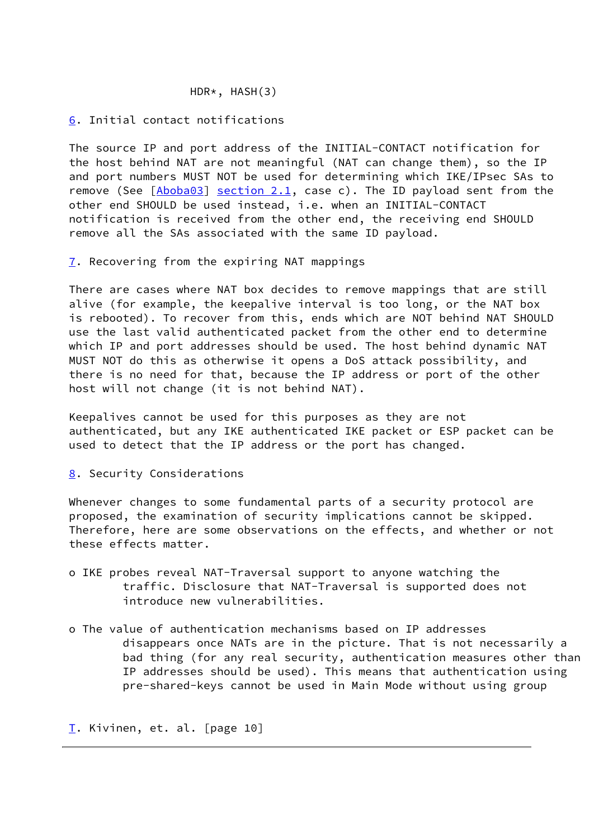### HDR\*, HASH(3)

## <span id="page-11-0"></span>[6.](#page-11-0) Initial contact notifications

 The source IP and port address of the INITIAL-CONTACT notification for the host behind NAT are not meaningful (NAT can change them), so the IP and port numbers MUST NOT be used for determining which IKE/IPsec SAs to remove (See  $[Aboba03]$  $[Aboba03]$  $[Aboba03]$  section 2.1, case c). The ID payload sent from the other end SHOULD be used instead, i.e. when an INITIAL-CONTACT notification is received from the other end, the receiving end SHOULD remove all the SAs associated with the same ID payload.

<span id="page-11-1"></span>[7.](#page-11-1) Recovering from the expiring NAT mappings

 There are cases where NAT box decides to remove mappings that are still alive (for example, the keepalive interval is too long, or the NAT box is rebooted). To recover from this, ends which are NOT behind NAT SHOULD use the last valid authenticated packet from the other end to determine which IP and port addresses should be used. The host behind dynamic NAT MUST NOT do this as otherwise it opens a DoS attack possibility, and there is no need for that, because the IP address or port of the other host will not change (it is not behind NAT).

 Keepalives cannot be used for this purposes as they are not authenticated, but any IKE authenticated IKE packet or ESP packet can be used to detect that the IP address or the port has changed.

### <span id="page-11-2"></span>[8.](#page-11-2) Security Considerations

 Whenever changes to some fundamental parts of a security protocol are proposed, the examination of security implications cannot be skipped. Therefore, here are some observations on the effects, and whether or not these effects matter.

- o IKE probes reveal NAT-Traversal support to anyone watching the traffic. Disclosure that NAT-Traversal is supported does not introduce new vulnerabilities.
- o The value of authentication mechanisms based on IP addresses disappears once NATs are in the picture. That is not necessarily a bad thing (for any real security, authentication measures other than IP addresses should be used). This means that authentication using pre-shared-keys cannot be used in Main Mode without using group

[T.](#page-1-0) Kivinen, et. al. [page 10]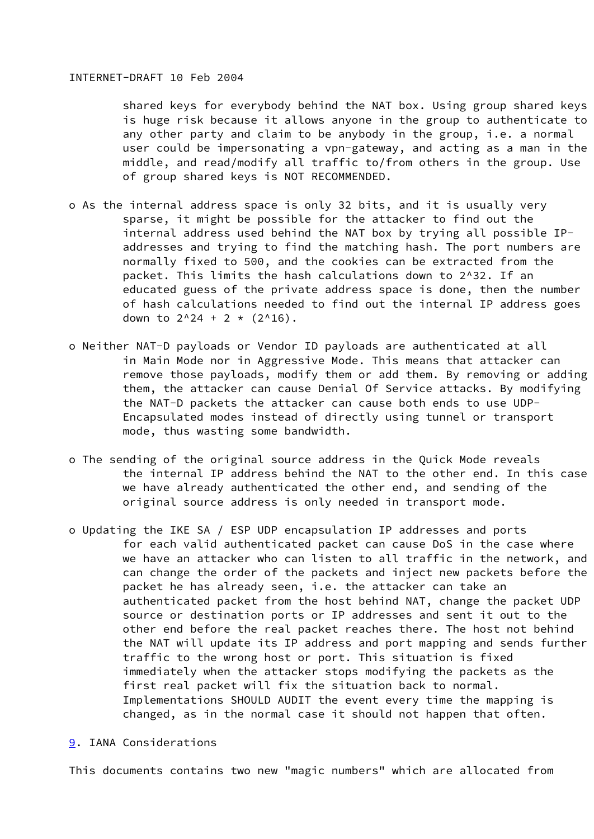### <span id="page-12-1"></span>INTERNET-DRAFT 10 Feb 2004

 shared keys for everybody behind the NAT box. Using group shared keys is huge risk because it allows anyone in the group to authenticate to any other party and claim to be anybody in the group, i.e. a normal user could be impersonating a vpn-gateway, and acting as a man in the middle, and read/modify all traffic to/from others in the group. Use of group shared keys is NOT RECOMMENDED.

- o As the internal address space is only 32 bits, and it is usually very sparse, it might be possible for the attacker to find out the internal address used behind the NAT box by trying all possible IP addresses and trying to find the matching hash. The port numbers are normally fixed to 500, and the cookies can be extracted from the packet. This limits the hash calculations down to 2^32. If an educated guess of the private address space is done, then the number of hash calculations needed to find out the internal IP address goes down to  $2^{2}24 + 2 \times (2^{2}16)$ .
- o Neither NAT-D payloads or Vendor ID payloads are authenticated at all in Main Mode nor in Aggressive Mode. This means that attacker can remove those payloads, modify them or add them. By removing or adding them, the attacker can cause Denial Of Service attacks. By modifying the NAT-D packets the attacker can cause both ends to use UDP- Encapsulated modes instead of directly using tunnel or transport mode, thus wasting some bandwidth.
- o The sending of the original source address in the Quick Mode reveals the internal IP address behind the NAT to the other end. In this case we have already authenticated the other end, and sending of the original source address is only needed in transport mode.
- o Updating the IKE SA / ESP UDP encapsulation IP addresses and ports for each valid authenticated packet can cause DoS in the case where we have an attacker who can listen to all traffic in the network, and can change the order of the packets and inject new packets before the packet he has already seen, i.e. the attacker can take an authenticated packet from the host behind NAT, change the packet UDP source or destination ports or IP addresses and sent it out to the other end before the real packet reaches there. The host not behind the NAT will update its IP address and port mapping and sends further traffic to the wrong host or port. This situation is fixed immediately when the attacker stops modifying the packets as the first real packet will fix the situation back to normal. Implementations SHOULD AUDIT the event every time the mapping is changed, as in the normal case it should not happen that often.
- <span id="page-12-0"></span>[9.](#page-12-0) IANA Considerations

This documents contains two new "magic numbers" which are allocated from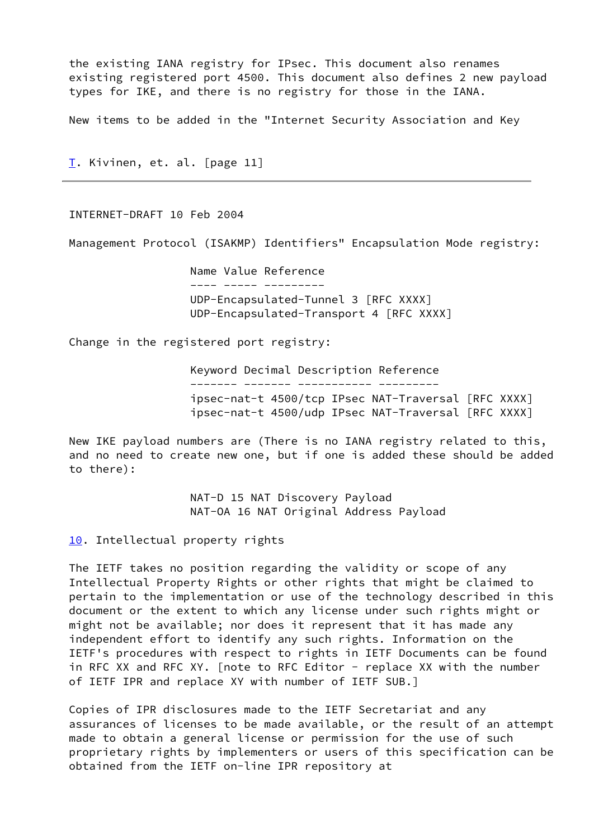the existing IANA registry for IPsec. This document also renames existing registered port 4500. This document also defines 2 new payload types for IKE, and there is no registry for those in the IANA.

New items to be added in the "Internet Security Association and Key

[T.](#page-1-0) Kivinen, et. al. [page 11]

<span id="page-13-1"></span>INTERNET-DRAFT 10 Feb 2004

Management Protocol (ISAKMP) Identifiers" Encapsulation Mode registry:

 Name Value Reference ---- ----- --------- UDP-Encapsulated-Tunnel 3 [RFC XXXX] UDP-Encapsulated-Transport 4 [RFC XXXX]

Change in the registered port registry:

 Keyword Decimal Description Reference ------- ------- ----------- -------- ipsec-nat-t 4500/tcp IPsec NAT-Traversal [RFC XXXX] ipsec-nat-t 4500/udp IPsec NAT-Traversal [RFC XXXX]

 New IKE payload numbers are (There is no IANA registry related to this, and no need to create new one, but if one is added these should be added to there):

> NAT-D 15 NAT Discovery Payload NAT-OA 16 NAT Original Address Payload

<span id="page-13-0"></span>[10.](#page-13-0) Intellectual property rights

 The IETF takes no position regarding the validity or scope of any Intellectual Property Rights or other rights that might be claimed to pertain to the implementation or use of the technology described in this document or the extent to which any license under such rights might or might not be available; nor does it represent that it has made any independent effort to identify any such rights. Information on the IETF's procedures with respect to rights in IETF Documents can be found in RFC XX and RFC XY. [note to RFC Editor - replace XX with the number of IETF IPR and replace XY with number of IETF SUB.]

 Copies of IPR disclosures made to the IETF Secretariat and any assurances of licenses to be made available, or the result of an attempt made to obtain a general license or permission for the use of such proprietary rights by implementers or users of this specification can be obtained from the IETF on-line IPR repository at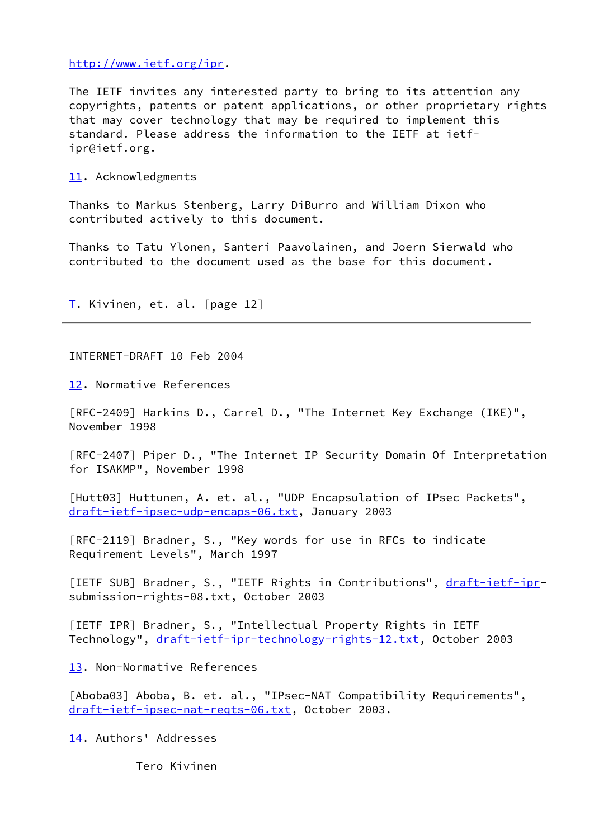### <http://www.ietf.org/ipr>.

 The IETF invites any interested party to bring to its attention any copyrights, patents or patent applications, or other proprietary rights that may cover technology that may be required to implement this standard. Please address the information to the IETF at ietf ipr@ietf.org.

## <span id="page-14-0"></span>[11.](#page-14-0) Acknowledgments

 Thanks to Markus Stenberg, Larry DiBurro and William Dixon who contributed actively to this document.

 Thanks to Tatu Ylonen, Santeri Paavolainen, and Joern Sierwald who contributed to the document used as the base for this document.

[T.](#page-1-0) Kivinen, et. al. [page 12]

<span id="page-14-2"></span>INTERNET-DRAFT 10 Feb 2004

<span id="page-14-1"></span>[12.](#page-14-1) Normative References

 [RFC-2409] Harkins D., Carrel D., "The Internet Key Exchange (IKE)", November 1998

 [RFC-2407] Piper D., "The Internet IP Security Domain Of Interpretation for ISAKMP", November 1998

<span id="page-14-5"></span> [Hutt03] Huttunen, A. et. al., "UDP Encapsulation of IPsec Packets", [draft-ietf-ipsec-udp-encaps-06.txt,](https://datatracker.ietf.org/doc/pdf/draft-ietf-ipsec-udp-encaps-06.txt) January 2003

 [RFC-2119] Bradner, S., "Key words for use in RFCs to indicate Requirement Levels", March 1997

[IETF SUB] Bradner, S., "IETF Rights in Contributions", [draft-ietf-ipr](https://datatracker.ietf.org/doc/pdf/draft-ietf-ipr)submission-rights-08.txt, October 2003

 [IETF IPR] Bradner, S., "Intellectual Property Rights in IETF Technology", [draft-ietf-ipr-technology-rights-12.txt](https://datatracker.ietf.org/doc/pdf/draft-ietf-ipr-technology-rights-12.txt), October 2003

<span id="page-14-3"></span>[13.](#page-14-3) Non-Normative References

<span id="page-14-6"></span>[Aboba03] Aboba, B. et. al., "IPsec-NAT Compatibility Requirements", [draft-ietf-ipsec-nat-reqts-06.txt,](https://datatracker.ietf.org/doc/pdf/draft-ietf-ipsec-nat-reqts-06.txt) October 2003.

<span id="page-14-4"></span>[14.](#page-14-4) Authors' Addresses

Tero Kivinen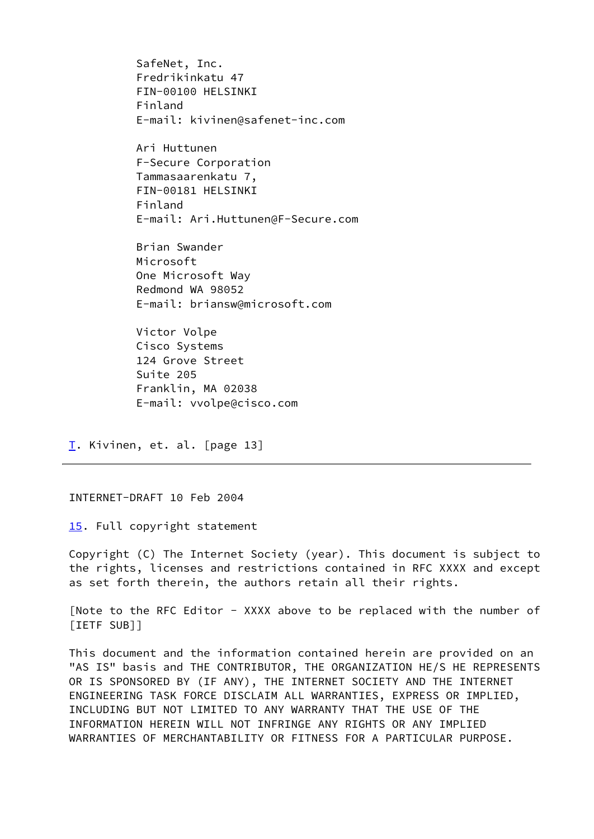SafeNet, Inc. Fredrikinkatu 47 FIN-00100 HELSINKI Finland E-mail: kivinen@safenet-inc.com

 Ari Huttunen F-Secure Corporation Tammasaarenkatu 7, FIN-00181 HELSINKI Finland E-mail: Ari.Huttunen@F-Secure.com

 Brian Swander Microsoft One Microsoft Way Redmond WA 98052 E-mail: briansw@microsoft.com

 Victor Volpe Cisco Systems 124 Grove Street Suite 205 Franklin, MA 02038 E-mail: vvolpe@cisco.com

[T.](#page-1-0) Kivinen, et. al. [page 13]

<span id="page-15-1"></span>INTERNET-DRAFT 10 Feb 2004

<span id="page-15-0"></span>[15.](#page-15-0) Full copyright statement

 Copyright (C) The Internet Society (year). This document is subject to the rights, licenses and restrictions contained in RFC XXXX and except as set forth therein, the authors retain all their rights.

 [Note to the RFC Editor - XXXX above to be replaced with the number of [IETF SUB]]

 This document and the information contained herein are provided on an "AS IS" basis and THE CONTRIBUTOR, THE ORGANIZATION HE/S HE REPRESENTS OR IS SPONSORED BY (IF ANY), THE INTERNET SOCIETY AND THE INTERNET ENGINEERING TASK FORCE DISCLAIM ALL WARRANTIES, EXPRESS OR IMPLIED, INCLUDING BUT NOT LIMITED TO ANY WARRANTY THAT THE USE OF THE INFORMATION HEREIN WILL NOT INFRINGE ANY RIGHTS OR ANY IMPLIED WARRANTIES OF MERCHANTABILITY OR FITNESS FOR A PARTICULAR PURPOSE.